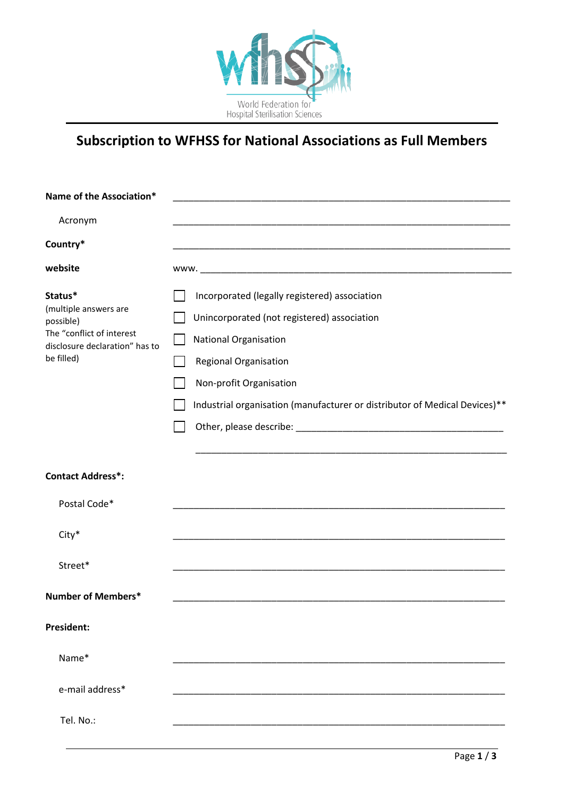

## **Subscription to WFHSS for National Associations as Full Members**

| Name of the Association*                                                                                                   |                                                                                                                                                                                                                                                                |
|----------------------------------------------------------------------------------------------------------------------------|----------------------------------------------------------------------------------------------------------------------------------------------------------------------------------------------------------------------------------------------------------------|
| Acronym                                                                                                                    |                                                                                                                                                                                                                                                                |
| Country*                                                                                                                   |                                                                                                                                                                                                                                                                |
| website                                                                                                                    |                                                                                                                                                                                                                                                                |
| Status*<br>(multiple answers are<br>possible)<br>The "conflict of interest<br>disclosure declaration" has to<br>be filled) | Incorporated (legally registered) association<br>Unincorporated (not registered) association<br><b>National Organisation</b><br>Regional Organisation<br>Non-profit Organisation<br>Industrial organisation (manufacturer or distributor of Medical Devices)** |
| <b>Contact Address*:</b>                                                                                                   |                                                                                                                                                                                                                                                                |
| Postal Code*                                                                                                               |                                                                                                                                                                                                                                                                |
| City*                                                                                                                      |                                                                                                                                                                                                                                                                |
| Street*                                                                                                                    |                                                                                                                                                                                                                                                                |
| Number of Members*                                                                                                         |                                                                                                                                                                                                                                                                |
| <b>President:</b>                                                                                                          |                                                                                                                                                                                                                                                                |
| Name*                                                                                                                      |                                                                                                                                                                                                                                                                |
| e-mail address*                                                                                                            |                                                                                                                                                                                                                                                                |
| Tel. No.:                                                                                                                  |                                                                                                                                                                                                                                                                |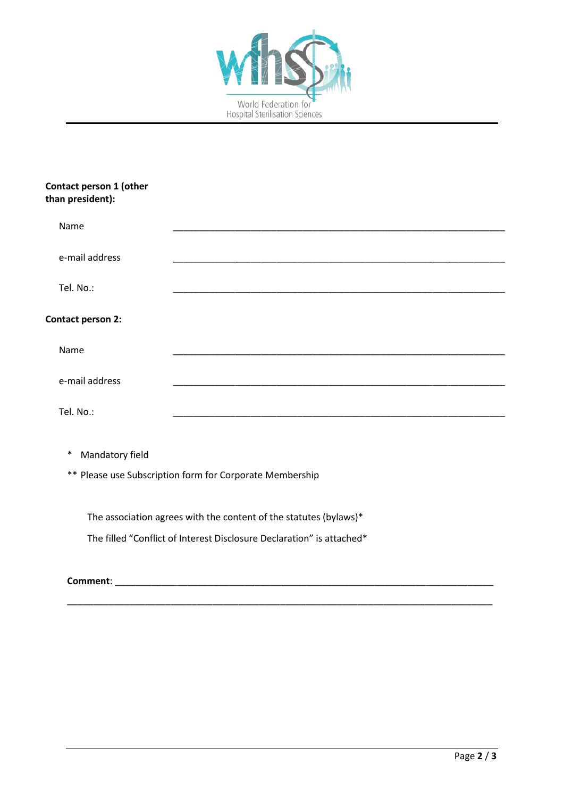

## **Contact person 1 (other than president):**

| Name                      |  |
|---------------------------|--|
| e-mail address            |  |
| Tel. No.:                 |  |
| Contact person 2:         |  |
| Name                      |  |
| e-mail address            |  |
| Tel. No.:                 |  |
| $\ast$<br>Mandatory field |  |

\_\_\_\_\_\_\_\_\_\_\_\_\_\_\_\_\_\_\_\_\_\_\_\_\_\_\_\_\_\_\_\_\_\_\_\_\_\_\_\_\_\_\_\_\_\_\_\_\_\_\_\_\_\_\_\_\_\_\_\_\_\_\_\_\_\_\_\_\_\_\_\_\_\_\_\_\_\_\_\_\_\_

\*\* Please use Subscription form for Corporate Membership

The association agrees with the content of the statutes (bylaws)\* The filled "Conflict of Interest Disclosure Declaration" is attached\*

**Comment**: \_\_\_\_\_\_\_\_\_\_\_\_\_\_\_\_\_\_\_\_\_\_\_\_\_\_\_\_\_\_\_\_\_\_\_\_\_\_\_\_\_\_\_\_\_\_\_\_\_\_\_\_\_\_\_\_\_\_\_\_\_\_\_\_\_\_\_\_\_\_\_\_\_